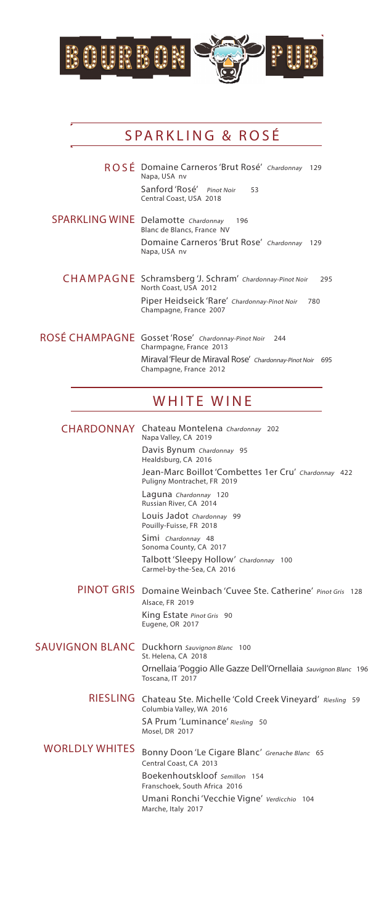

## SPARKLING & ROSÉ

- ROSÉ Domaine Carneros 'Brut Rosé' Chardonnay 129 Napa, USA nv Sanford 'Rosé' Pinot Noir 53 Central Coast, USA 2018
- SPARKLING WINE Delamotte Chardonnay 196 Blanc de Blancs, France NV Domaine Carneros 'Brut Rose' Chardonnay 129 Napa, USA nv
	- Schramsberg 'J. Schram' Chardonnay-Pinot Noir 295 CHAMPAGNE Schramsberg 'J. Scl<br>North Coast, USA 2012 Piper Heidseick 'Rare' Chardonnay-Pinot Noir 780 Champagne, France 2007
- ROSÉ CHAMPAGNE Gosset 'Rose' Chardonnay-Pinot Noir 244 Charmpagne, France 2013 Miraval 'Fleur de Miraval Rose' Chardonnay-Pinot Noir 695 Champagne, France 2012

## WHITE WINE

|                       | <b>CHARDONNAY</b> Chateau Montelena Chardonnay 202<br>Napa Valley, CA 2019           |
|-----------------------|--------------------------------------------------------------------------------------|
|                       | Davis Bynum Chardonnay 95<br>Healdsburg, CA 2016                                     |
|                       | Jean-Marc Boillot 'Combettes 1er Cru' Chardonnay 422<br>Puligny Montrachet, FR 2019  |
|                       | Laguna Chardonnay 120<br>Russian River, CA 2014                                      |
|                       | Louis Jadot Chardonnay 99<br>Pouilly-Fuisse, FR 2018                                 |
|                       | Simi Chardonnay 48<br>Sonoma County, CA 2017                                         |
|                       | Talbott 'Sleepy Hollow' Chardonnay 100<br>Carmel-by-the-Sea, CA 2016                 |
|                       | PINOT GRIS Domaine Weinbach 'Cuvee Ste. Catherine' Pinot Gris 128<br>Alsace, FR 2019 |
|                       | King Estate Pinot Gris 90<br>Eugene, OR 2017                                         |
|                       | <b>SAUVIGNON BLANC</b> Duckhorn Sauvignon Blanc 100<br>St. Helena, CA 2018           |
|                       | Ornellaia 'Poggio Alle Gazze Dell'Ornellaia Sauvignon Blanc 196<br>Toscana, IT 2017  |
| <b>RIESLING</b>       | Chateau Ste. Michelle 'Cold Creek Vineyard' Riesling 59<br>Columbia Valley, WA 2016  |
|                       | SA Prum 'Luminance' Riesling 50<br>Mosel, DR 2017                                    |
| <b>WORLDLY WHITES</b> | Bonny Doon 'Le Cigare Blanc' Grenache Blanc 65<br>Central Coast, CA 2013             |
|                       | Boekenhoutskloof Semillon 154<br>Franschoek, South Africa 2016                       |
|                       | Umani Ronchi 'Vecchie Vigne' Verdicchio 104<br>Marche, Italy 2017                    |